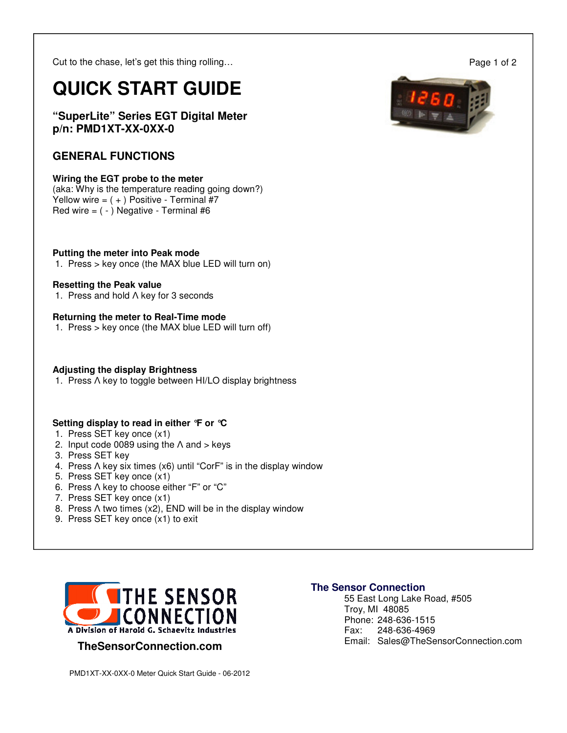Cut to the chase, let's get this thing rolling…

# **QUICK START GUIDE**

**"SuperLite" Series EGT Digital Meter p/n: PMD1XT-XX-0XX-0** 

### **GENERAL FUNCTIONS**

#### **Wiring the EGT probe to the meter**

(aka: Why is the temperature reading going down?) Yellow wire =  $( + )$  Positive - Terminal #7 Red wire  $=$  ( $-$ ) Negative - Terminal #6

#### **Putting the meter into Peak mode**

1. Press > key once (the MAX blue LED will turn on)

#### **Resetting the Peak value**

1. Press and hold Λ key for 3 seconds

#### **Returning the meter to Real-Time mode**

1. Press > key once (the MAX blue LED will turn off)

#### **Adjusting the display Brightness**

1. Press Λ key to toggle between HI/LO display brightness

#### **Setting display to read in either °F or °C**

- 1. Press SET key once (x1)
- 2. Input code 0089 using the  $\Lambda$  and  $>$  keys
- 3. Press SET key
- 4. Press Λ key six times (x6) until "CorF" is in the display window
- 5. Press SET key once (x1)
- 6. Press Λ key to choose either "F" or "C"
- 7. Press SET key once (x1)
- 8. Press Λ two times (x2), END will be in the display window
- 9. Press SET key once (x1) to exit



#### **TheSensorConnection.com**

## **The Sensor Connection**

 55 East Long Lake Road, #505 Troy, MI 48085 Phone: 248-636-1515 Fax: 248-636-4969 Email: Sales@TheSensorConnection.com

Page 1 of 2